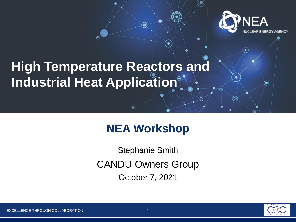

 $\left( \bullet \right)$ 

ኈ

# **High Temperature Reactors and Industrial Heat Application**

## **NEA Workshop**

⊚)

CANDU Owners Group Stephanie Smith October 7, 2021

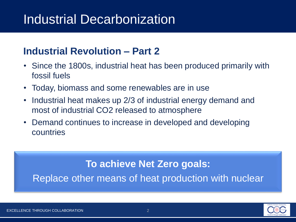# Industrial Decarbonization

### **Industrial Revolution – Part 2**

- Since the 1800s, industrial heat has been produced primarily with fossil fuels
- Today, biomass and some renewables are in use
- Industrial heat makes up 2/3 of industrial energy demand and most of industrial CO2 released to atmosphere
- Demand continues to increase in developed and developing countries

#### **To achieve Net Zero goals:**

Replace other means of heat production with nuclear

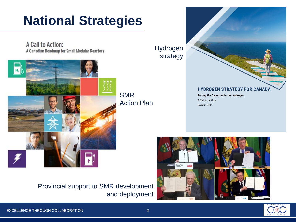# **National Strategies**

A Call to Action: A Canadian Roadmap for Small Modular Reactors



Provincial support to SMR development and deployment

Hydrogen strategy **HYDROGEN STRATEGY FOR CANADA Seizing the Opportunities for Hydrogen** A Call to Action December, 2020



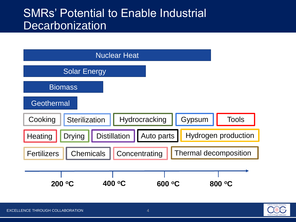## SMRs' Potential to Enable Industrial **Decarbonization**